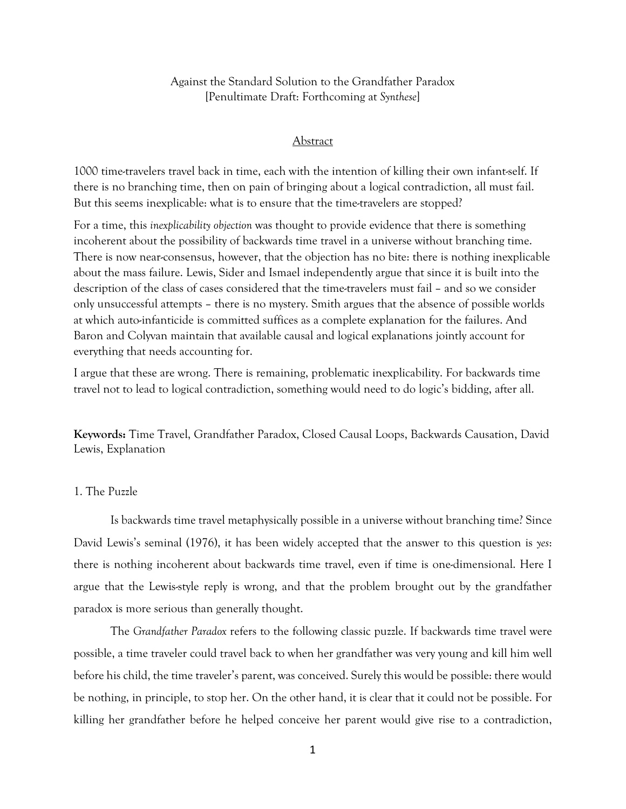Against the Standard Solution to the Grandfather Paradox [Penultimate Draft: Forthcoming at *Synthese*]

#### Abstract

1000 time-travelers travel back in time, each with the intention of killing their own infant-self. If there is no branching time, then on pain of bringing about a logical contradiction, all must fail. But this seems inexplicable: what is to ensure that the time-travelers are stopped?

For a time, this *inexplicability objection* was thought to provide evidence that there is something incoherent about the possibility of backwards time travel in a universe without branching time. There is now near-consensus, however, that the objection has no bite: there is nothing inexplicable about the mass failure. Lewis, Sider and Ismael independently argue that since it is built into the description of the class of cases considered that the time-travelers must fail – and so we consider only unsuccessful attempts – there is no mystery. Smith argues that the absence of possible worlds at which auto-infanticide is committed suffices as a complete explanation for the failures. And Baron and Colyvan maintain that available causal and logical explanations jointly account for everything that needs accounting for.

I argue that these are wrong. There is remaining, problematic inexplicability. For backwards time travel not to lead to logical contradiction, something would need to do logic's bidding, after all.

**Keywords:** Time Travel, Grandfather Paradox, Closed Causal Loops, Backwards Causation, David Lewis, Explanation

## 1. The Puzzle

Is backwards time travel metaphysically possible in a universe without branching time? Since David Lewis's seminal (1976), it has been widely accepted that the answer to this question is *yes*: there is nothing incoherent about backwards time travel, even if time is one-dimensional. Here I argue that the Lewis-style reply is wrong, and that the problem brought out by the grandfather paradox is more serious than generally thought.

The *Grandfather Paradox* refers to the following classic puzzle. If backwards time travel were possible, a time traveler could travel back to when her grandfather was very young and kill him well before his child, the time traveler's parent, was conceived. Surely this would be possible: there would be nothing, in principle, to stop her. On the other hand, it is clear that it could not be possible. For killing her grandfather before he helped conceive her parent would give rise to a contradiction,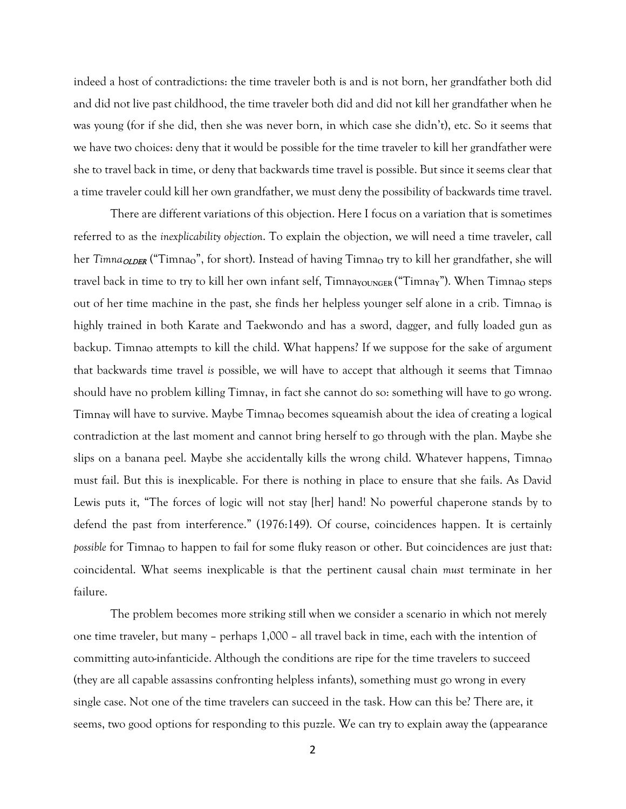indeed a host of contradictions: the time traveler both is and is not born, her grandfather both did and did not live past childhood, the time traveler both did and did not kill her grandfather when he was young (for if she did, then she was never born, in which case she didn't), etc. So it seems that we have two choices: deny that it would be possible for the time traveler to kill her grandfather were she to travel back in time, or deny that backwards time travel is possible. But since it seems clear that a time traveler could kill her own grandfather, we must deny the possibility of backwards time travel.

There are different variations of this objection. Here I focus on a variation that is sometimes referred to as the *inexplicability objection*. To explain the objection, we will need a time traveler, call her *Timna<sub>OLDER</sub>* ("Timnao", for short). Instead of having Timnao try to kill her grandfather, she will travel back in time to try to kill her own infant self, Timna<sub>YOUNGER</sub> ("Timnay"). When Timna<sub>O</sub> steps out of her time machine in the past, she finds her helpless younger self alone in a crib. Timnao is highly trained in both Karate and Taekwondo and has a sword, dagger, and fully loaded gun as backup. Timna**<sup>O</sup>** attempts to kill the child. What happens? If we suppose for the sake of argument that backwards time travel is possible, we will have to accept that although it seems that Timna<sub>0</sub> should have no problem killing Timnay, in fact she cannot do so: something will have to go wrong. Timna<sub>Y</sub> will have to survive. Maybe Timna<sub>O</sub> becomes squeamish about the idea of creating a logical contradiction at the last moment and cannot bring herself to go through with the plan. Maybe she slips on a banana peel. Maybe she accidentally kills the wrong child. Whatever happens, Timna<sub>o</sub> must fail. But this is inexplicable. For there is nothing in place to ensure that she fails. As David Lewis puts it, "The forces of logic will not stay [her] hand! No powerful chaperone stands by to defend the past from interference." (1976:149). Of course, coincidences happen. It is certainly *possible* for Timna<sub>O</sub> to happen to fail for some fluky reason or other. But coincidences are just that: coincidental. What seems inexplicable is that the pertinent causal chain *must* terminate in her failure.

The problem becomes more striking still when we consider a scenario in which not merely one time traveler, but many – perhaps 1,000 – all travel back in time, each with the intention of committing auto-infanticide. Although the conditions are ripe for the time travelers to succeed (they are all capable assassins confronting helpless infants), something must go wrong in every single case. Not one of the time travelers can succeed in the task. How can this be? There are, it seems, two good options for responding to this puzzle. We can try to explain away the (appearance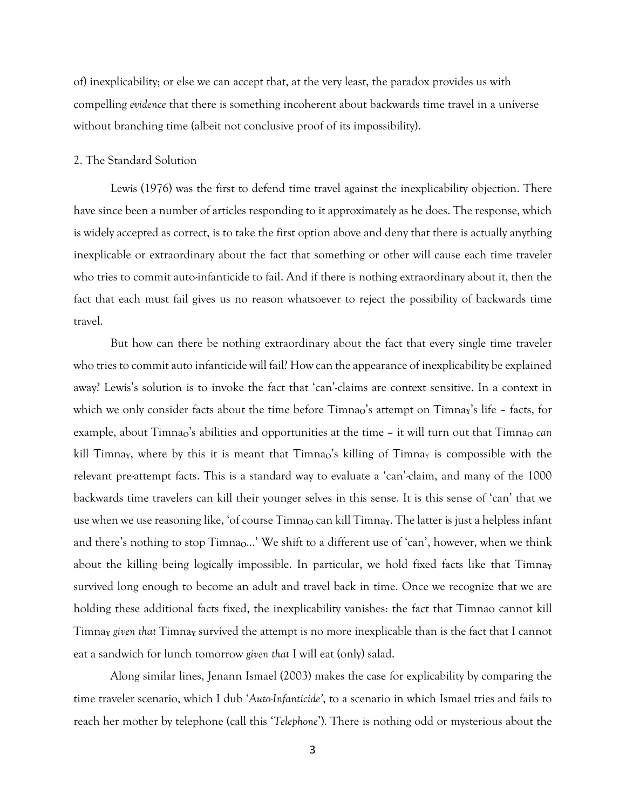of) inexplicability; or else we can accept that, at the very least, the paradox provides us with compelling *evidence* that there is something incoherent about backwards time travel in a universe without branching time (albeit not conclusive proof of its impossibility).

### 2. The Standard Solution

Lewis (1976) was the first to defend time travel against the inexplicability objection. There have since been a number of articles responding to it approximately as he does. The response, which is widely accepted as correct, is to take the first option above and deny that there is actually anything inexplicable or extraordinary about the fact that something or other will cause each time traveler who tries to commit auto-infanticide to fail. And if there is nothing extraordinary about it, then the fact that each must fail gives us no reason whatsoever to reject the possibility of backwards time travel.

But how can there be nothing extraordinary about the fact that every single time traveler who tries to commit auto infanticide will fail? How can the appearance of inexplicability be explained away? Lewis's solution is to invoke the fact that 'can'-claims are context sensitive. In a context in which we only consider facts about the time before Timnao's attempt on Timnay's life - facts, for example, about Timnao's abilities and opportunities at the time - it will turn out that Timnao *can* kill Timna<sub>Y</sub>, where by this it is meant that Timna<sub>0</sub>'s killing of Timna<sub>Y</sub> is compossible with the relevant pre-attempt facts. This is a standard way to evaluate a 'can'-claim, and many of the 1000 backwards time travelers can kill their younger selves in this sense. It is this sense of 'can' that we use when we use reasoning like, 'of course Timna<sub>O</sub> can kill Timna<sub>Y</sub>. The latter is just a helpless infant and there's nothing to stop Timna<sub>0</sub>...' We shift to a different use of 'can', however, when we think about the killing being logically impossible. In particular, we hold fixed facts like that Timna<sub>Y</sub> survived long enough to become an adult and travel back in time. Once we recognize that we are holding these additional facts fixed, the inexplicability vanishes: the fact that Timnao cannot kill Timna**<sup>Y</sup>** *given that* Timna**<sup>Y</sup>** survived the attempt is no more inexplicable than is the fact that I cannot eat a sandwich for lunch tomorrow *given that* I will eat (only) salad.

Along similar lines, Jenann Ismael (2003) makes the case for explicability by comparing the time traveler scenario, which I dub '*Auto-Infanticide'*, to a scenario in which Ismael tries and fails to reach her mother by telephone (call this '*Telephone*'). There is nothing odd or mysterious about the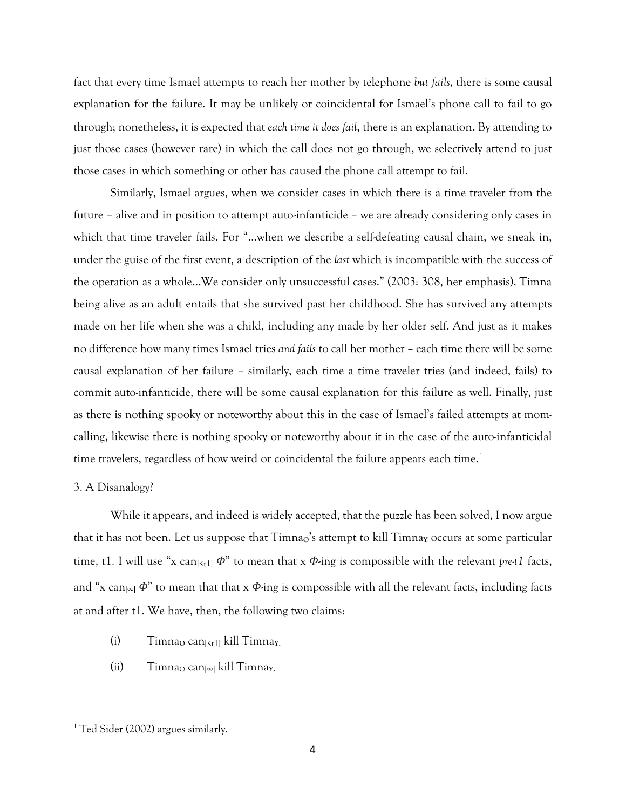fact that every time Ismael attempts to reach her mother by telephone *but fails*, there is some causal explanation for the failure. It may be unlikely or coincidental for Ismael's phone call to fail to go through; nonetheless, it is expected that *each time it does fail*, there is an explanation. By attending to just those cases (however rare) in which the call does not go through, we selectively attend to just those cases in which something or other has caused the phone call attempt to fail.

Similarly, Ismael argues, when we consider cases in which there is a time traveler from the future – alive and in position to attempt auto-infanticide – we are already considering only cases in which that time traveler fails. For "…when we describe a self-defeating causal chain, we sneak in, under the guise of the first event, a description of the *last* which is incompatible with the success of the operation as a whole…We consider only unsuccessful cases." (2003: 308, her emphasis). Timna being alive as an adult entails that she survived past her childhood. She has survived any attempts made on her life when she was a child, including any made by her older self. And just as it makes no difference how many times Ismael tries *and fails* to call her mother – each time there will be some causal explanation of her failure – similarly, each time a time traveler tries (and indeed, fails) to commit auto-infanticide, there will be some causal explanation for this failure as well. Finally, just as there is nothing spooky or noteworthy about this in the case of Ismael's failed attempts at momcalling, likewise there is nothing spooky or noteworthy about it in the case of the auto-infanticidal time travelers, regardless of how weird or coincidental the failure appears each time.<sup>[1](#page-3-0)</sup>

#### 3. A Disanalogy?

While it appears, and indeed is widely accepted, that the puzzle has been solved, I now argue that it has not been. Let us suppose that Timna<sub>o</sub>'s attempt to kill Timna<sub>y</sub> occurs at some particular time, t1. I will use "x can<sub> $|\langle t_1|$ </sub>  $\phi$ " to mean that x  $\phi$ -ing is compossible with the relevant *pre-t1* facts, and "x can[∞] *Φ*" to mean that that x *Φ*-ing is compossible with all the relevant facts, including facts at and after t1. We have, then, the following two claims:

- (i) Timna<sub>O</sub> can<sub>[<t1]</sub> kill Timna<sub>Y</sub>.
- $(i)$  Timna<sub>O</sub> can<sub> $[∞]$ </sub> kill Timna<sub>Y</sub>.

<span id="page-3-0"></span><sup>&</sup>lt;sup>1</sup> Ted Sider (2002) argues similarly.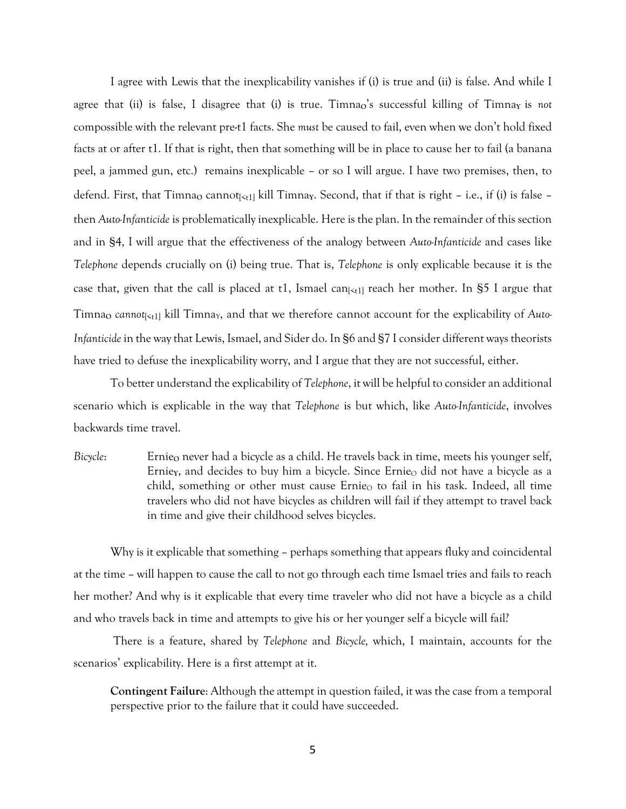I agree with Lewis that the inexplicability vanishes if (i) is true and (ii) is false. And while I agree that (ii) is false, I disagree that (i) is true. Timnao's successful killing of Timna<sub>Y</sub> is *not* compossible with the relevant pre-t1 facts. She *must* be caused to fail, even when we don't hold fixed facts at or after t1. If that is right, then that something will be in place to cause her to fail (a banana peel, a jammed gun, etc.) remains inexplicable – or so I will argue. I have two premises, then, to defend. First, that Timna<sub>O</sub> cannot<sub>[<t1]</sub> kill Timnay. Second, that if that is right – i.e., if (i) is false – then *Auto-Infanticide* is problematically inexplicable. Here is the plan. In the remainder of this section and in §4, I will argue that the effectiveness of the analogy between *Auto-Infanticide* and cases like *Telephone* depends crucially on (i) being true. That is, *Telephone* is only explicable because it is the case that, given that the call is placed at t1, Ismael can $\kappa_{t1}$  reach her mother. In §5 I argue that Timna<sub>O</sub> cannot<sub>[<t1]</sub> kill Timna<sub>Y</sub>, and that we therefore cannot account for the explicability of Auto-*Infanticide* in the way that Lewis, Ismael, and Sider do. In §6 and §7 I consider different ways theorists have tried to defuse the inexplicability worry, and I argue that they are not successful, either.

To better understand the explicability of *Telephone*, it will be helpful to consider an additional scenario which is explicable in the way that *Telephone* is but which, like *Auto-Infanticide*, involves backwards time travel.

*Bicycle*: Ernie<sub>o</sub> never had a bicycle as a child. He travels back in time, meets his younger self, Ernie<sub>Y</sub>, and decides to buy him a bicycle. Since Ernie<sub>O</sub> did not have a bicycle as a child, something or other must cause Ernie<sub>O</sub> to fail in his task. Indeed, all time travelers who did not have bicycles as children will fail if they attempt to travel back in time and give their childhood selves bicycles.

Why is it explicable that something – perhaps something that appears fluky and coincidental at the time – will happen to cause the call to not go through each time Ismael tries and fails to reach her mother? And why is it explicable that every time traveler who did not have a bicycle as a child and who travels back in time and attempts to give his or her younger self a bicycle will fail?

There is a feature, shared by *Telephone* and *Bicycle,* which, I maintain, accounts for the scenarios' explicability. Here is a first attempt at it.

**Contingent Failure**: Although the attempt in question failed, it was the case from a temporal perspective prior to the failure that it could have succeeded.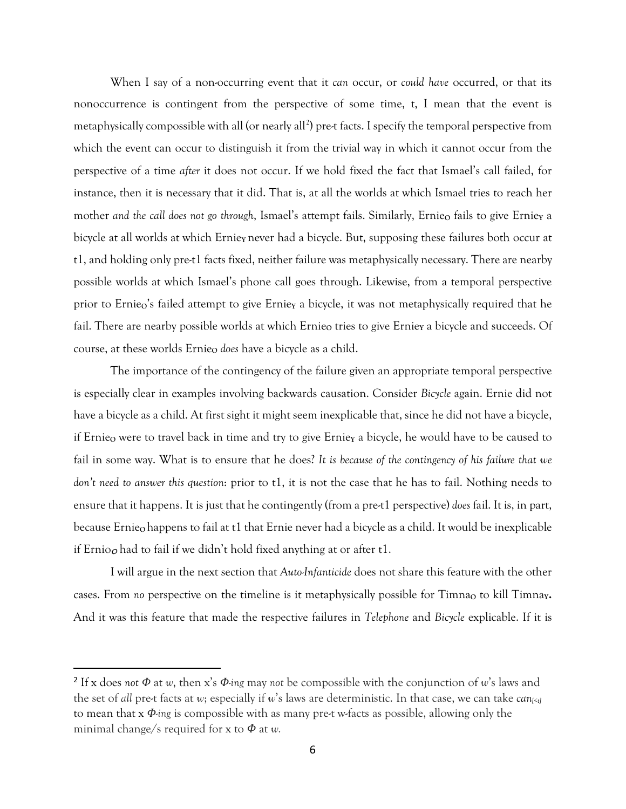When I say of a non-occurring event that it *can* occur, or *could have* occurred, or that its nonoccurrence is contingent from the perspective of some time, t, I mean that the event is metaphysically compossible with all (or nearly all<sup>[2](#page-5-0)</sup>) pre-t facts. I specify the temporal perspective from which the event can occur to distinguish it from the trivial way in which it cannot occur from the perspective of a time *after* it does not occur. If we hold fixed the fact that Ismael's call failed, for instance, then it is necessary that it did. That is, at all the worlds at which Ismael tries to reach her mother and the call does not go through, Ismael's attempt fails. Similarly, Ernie<sub>o</sub> fails to give Ernie<sub>Y</sub> a bicycle at all worlds at which Ernie**<sup>Y</sup>** never had a bicycle. But, supposing these failures both occur at t1, and holding only pre-t1 facts fixed, neither failure was metaphysically necessary. There are nearby possible worlds at which Ismael's phone call goes through. Likewise, from a temporal perspective prior to Ernieo's failed attempt to give Ernie<sub>Y</sub> a bicycle, it was not metaphysically required that he fail. There are nearby possible worlds at which Ernie<sub>o</sub> tries to give Ernie<sub>Y</sub> a bicycle and succeeds. Of course, at these worlds Ernie<sub>o</sub> *does* have a bicycle as a child.

The importance of the contingency of the failure given an appropriate temporal perspective is especially clear in examples involving backwards causation. Consider *Bicycle* again. Ernie did not have a bicycle as a child. At first sight it might seem inexplicable that, since he did not have a bicycle, if Ernie<sub>o</sub> were to travel back in time and try to give Ernie<sub>Y</sub> a bicycle, he would have to be caused to fail in some way. What is to ensure that he does? *It is because of the contingency of his failure that we don't need to answer this question*: prior to t1, it is not the case that he has to fail. Nothing needs to ensure that it happens. It is just that he contingently (from a pre-t1 perspective) *does* fail. It is, in part, because Ernie**<sup>O</sup>** happens to fail at t1 that Ernie never had a bicycle as a child. It would be inexplicable if Ernio<sub>o</sub> had to fail if we didn't hold fixed anything at or after t1.

I will argue in the next section that *Auto-Infanticide* does not share this feature with the other cases. From *no* perspective on the timeline is it metaphysically possible for Timna<sub>o</sub> to kill Timna<sub>y</sub>. And it was this feature that made the respective failures in *Telephone* and *Bicycle* explicable. If it is

<span id="page-5-0"></span><sup>2</sup> If x does *not Φ* at *w*, then x's *Φ-ing* may *not* be compossible with the conjunction of *w*'s laws and the set of *all* pre-t facts at *w*; especially if *w*'s laws are deterministic. In that case, we can take  $can_{\{sl\}}$ to mean that x *Φ-ing* is compossible with as many pre-t w-facts as possible, allowing only the minimal change/s required for x to *Φ* at *w.*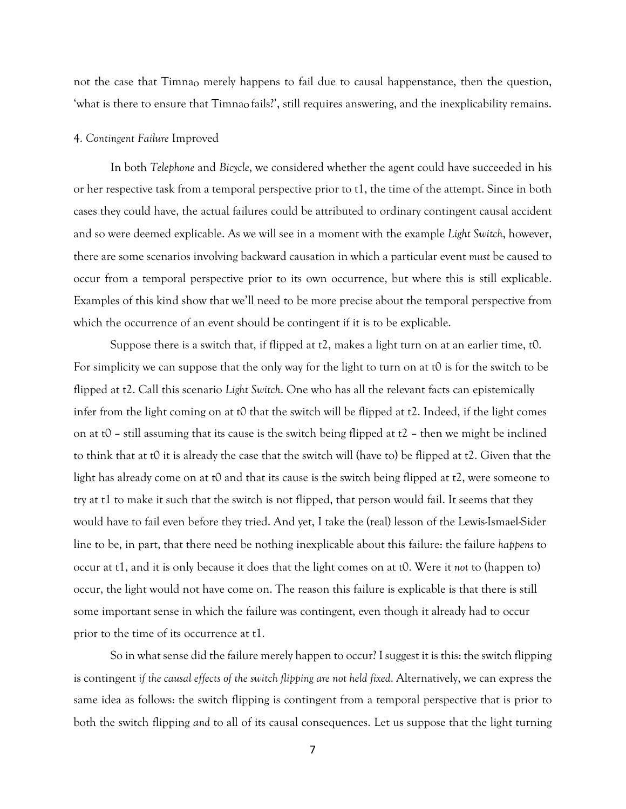not the case that Timna<sub>o</sub> merely happens to fail due to causal happenstance, then the question, 'what is there to ensure that Timna<sub>o</sub> fails?', still requires answering, and the inexplicability remains.

#### 4. *Contingent Failure* Improved

In both *Telephone* and *Bicycle*, we considered whether the agent could have succeeded in his or her respective task from a temporal perspective prior to t1, the time of the attempt. Since in both cases they could have, the actual failures could be attributed to ordinary contingent causal accident and so were deemed explicable. As we will see in a moment with the example *Light Switch*, however, there are some scenarios involving backward causation in which a particular event *must* be caused to occur from a temporal perspective prior to its own occurrence, but where this is still explicable. Examples of this kind show that we'll need to be more precise about the temporal perspective from which the occurrence of an event should be contingent if it is to be explicable.

Suppose there is a switch that, if flipped at t2, makes a light turn on at an earlier time, t0. For simplicity we can suppose that the only way for the light to turn on at t0 is for the switch to be flipped at t2. Call this scenario *Light Switch*. One who has all the relevant facts can epistemically infer from the light coming on at  $\theta$  that the switch will be flipped at  $\tau$ . Indeed, if the light comes on at t0 – still assuming that its cause is the switch being flipped at  $t^2$  – then we might be inclined to think that at t0 it is already the case that the switch will (have to) be flipped at t2. Given that the light has already come on at t0 and that its cause is the switch being flipped at t2, were someone to try at t1 to make it such that the switch is not flipped, that person would fail. It seems that they would have to fail even before they tried. And yet, I take the (real) lesson of the Lewis-Ismael-Sider line to be, in part, that there need be nothing inexplicable about this failure: the failure *happens* to occur at t1, and it is only because it does that the light comes on at t0. Were it *not* to (happen to) occur, the light would not have come on. The reason this failure is explicable is that there is still some important sense in which the failure was contingent, even though it already had to occur prior to the time of its occurrence at t1.

So in what sense did the failure merely happen to occur? I suggest it is this: the switch flipping is contingent *if the causal effects of the switch flipping are not held fixed*. Alternatively, we can express the same idea as follows: the switch flipping is contingent from a temporal perspective that is prior to both the switch flipping *and* to all of its causal consequences. Let us suppose that the light turning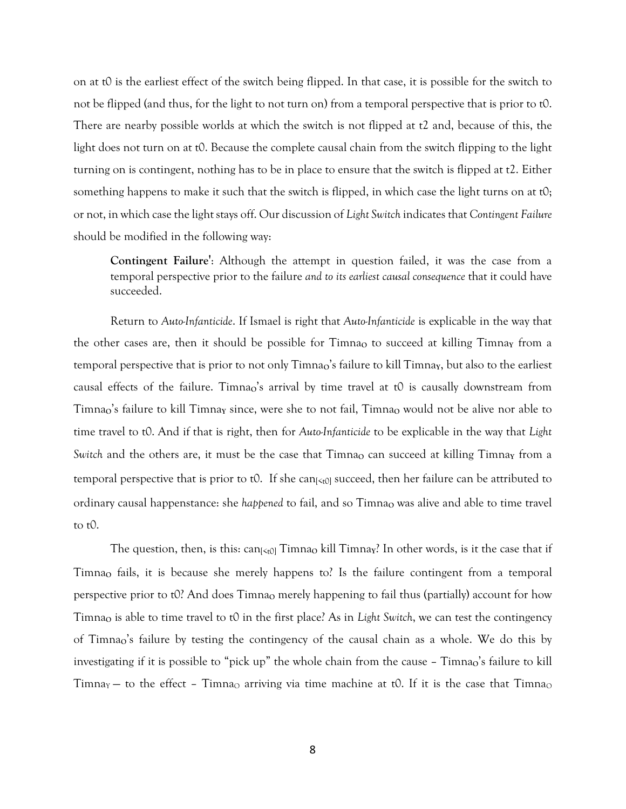on at t0 is the earliest effect of the switch being flipped. In that case, it is possible for the switch to not be flipped (and thus, for the light to not turn on) from a temporal perspective that is prior to t0. There are nearby possible worlds at which the switch is not flipped at t2 and, because of this, the light does not turn on at t0. Because the complete causal chain from the switch flipping to the light turning on is contingent, nothing has to be in place to ensure that the switch is flipped at t2. Either something happens to make it such that the switch is flipped, in which case the light turns on at  $t0$ ; or not, in which case the light stays off. Our discussion of *Light Switch* indicates that *Contingent Failure* should be modified in the following way:

**Contingent Failure'**: Although the attempt in question failed, it was the case from a temporal perspective prior to the failure *and to its earliest causal consequence* that it could have succeeded.

Return to *Auto-Infanticide*. If Ismael is right that *Auto-Infanticide* is explicable in the way that the other cases are, then it should be possible for Timna<sub>O</sub> to succeed at killing Timna<sub>Y</sub> from a temporal perspective that is prior to not only Timnao's failure to kill Timnay, but also to the earliest causal effects of the failure. Timna<sub>o</sub>'s arrival by time travel at t0 is causally downstream from Timna<sub>o</sub>'s failure to kill Timna<sub>y</sub> since, were she to not fail, Timna<sub>o</sub> would not be alive nor able to time travel to t0. And if that is right, then for *Auto-Infanticide* to be explicable in the way that *Light Switch* and the others are, it must be the case that Timna<sub>O</sub> can succeed at killing Timna<sub>Y</sub> from a temporal perspective that is prior to t0. If she can $\vert \xi_0 \vert$  succeed, then her failure can be attributed to ordinary causal happenstance: she *happened* to fail, and so Timna<sub>o</sub> was alive and able to time travel to t0.

The question, then, is this: can<sub>[<t0]</sub> Timna<sub>0</sub> kill Timna<sub>Y</sub>? In other words, is it the case that if Timna**<sup>O</sup>** fails, it is because she merely happens to? Is the failure contingent from a temporal perspective prior to t0? And does Timna<sub>0</sub> merely happening to fail thus (partially) account for how Timna**<sup>O</sup>** is able to time travel to t0 in the first place? As in *Light Switch*, we can test the contingency of Timna<sub>o</sub>'s failure by testing the contingency of the causal chain as a whole. We do this by investigating if it is possible to "pick up" the whole chain from the cause – Timnao's failure to kill Timna<sub>Y</sub> – to the effect – Timna<sub>O</sub> arriving via time machine at t0. If it is the case that Timna<sub>O</sub>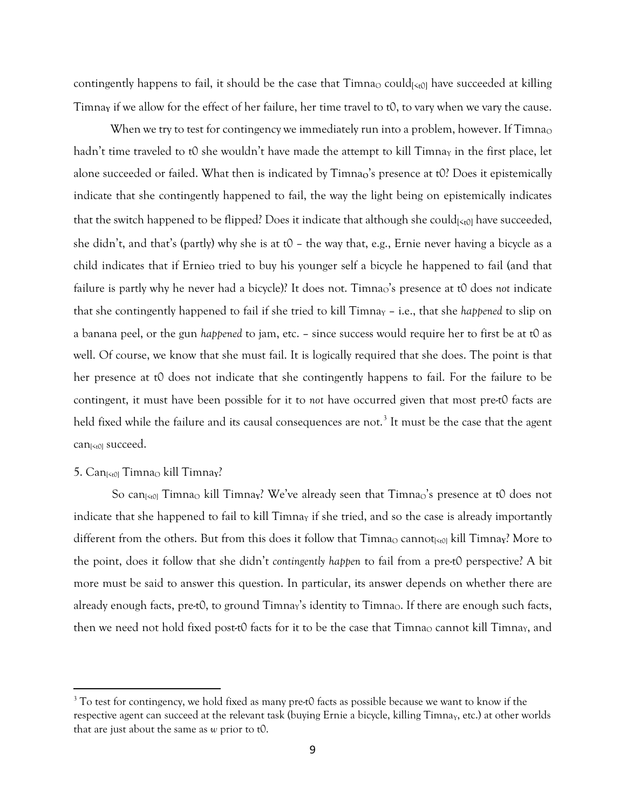contingently happens to fail, it should be the case that  $T_{imnaO}$  could $\kappa_{U}$  have succeeded at killing Timna**<sup>Y</sup>** if we allow for the effect of her failure, her time travel to t0, to vary when we vary the cause.

When we try to test for contingency we immediately run into a problem, however. If Timna<sub>O</sub> hadn't time traveled to t0 she wouldn't have made the attempt to kill  $T_{\text{imn}}$  in the first place, let alone succeeded or failed. What then is indicated by Timnao's presence at t0? Does it epistemically indicate that she contingently happened to fail, the way the light being on epistemically indicates that the switch happened to be flipped? Does it indicate that although she could $\left[\zeta_{t0}\right]$  have succeeded, she didn't, and that's (partly) why she is at t0 – the way that, e.g., Ernie never having a bicycle as a child indicates that if Ernie<sub>o</sub> tried to buy his younger self a bicycle he happened to fail (and that failure is partly why he never had a bicycle)? It does not. Timna<sub>O</sub>'s presence at t0 does *not* indicate that she contingently happened to fail if she tried to kill Timna<sub>Y</sub> - i.e., that she *happened* to slip on a banana peel, or the gun *happened* to jam, etc. – since success would require her to first be at t0 as well. Of course, we know that she must fail. It is logically required that she does. The point is that her presence at t0 does not indicate that she contingently happens to fail. For the failure to be contingent, it must have been possible for it to *not* have occurred given that most pre-t0 facts are held fixed while the failure and its causal consequences are not. [3](#page-8-0) It must be the case that the agent can $\kappa_{t0}$  succeed.

# 5. Can<sub>[<t0]</sub> Timna<sub>O</sub> kill Timnay?

So can<sub>[<t0]</sub> Timna<sub>O</sub> kill Timna<sub>Y</sub>? We've already seen that Timna<sub>O</sub>'s presence at t0 does not indicate that she happened to fail to kill  $\text{Timn}_Y$  if she tried, and so the case is already importantly different from the others. But from this does it follow that  $T_{\text{imna}}$  cannot<sub>[ $50$ ]</sub> kill  $T_{\text{imna}}$ ? More to the point, does it follow that she didn't *contingently happen* to fail from a pre-t0 perspective? A bit more must be said to answer this question. In particular, its answer depends on whether there are already enough facts, pre-t0, to ground Timnay's identity to Timna $\circ$ . If there are enough such facts, then we need not hold fixed post-t0 facts for it to be the case that Timna<sub>O</sub> cannot kill Timna<sub>Y</sub>, and

<span id="page-8-0"></span><sup>&</sup>lt;sup>3</sup> To test for contingency, we hold fixed as many pre-t0 facts as possible because we want to know if the respective agent can succeed at the relevant task (buying Ernie a bicycle, killing Timna<sub>Y</sub>, etc.) at other worlds that are just about the same as *w* prior to t0.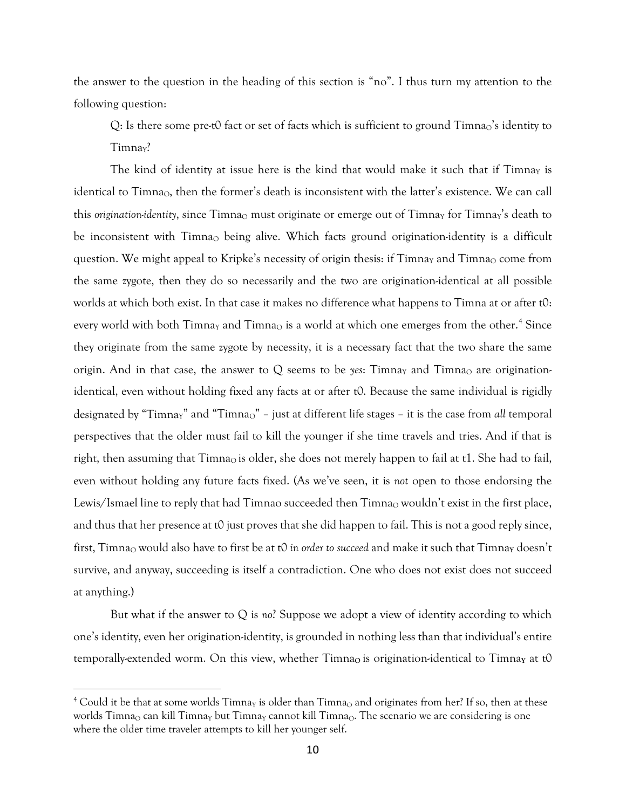the answer to the question in the heading of this section is "no". I thus turn my attention to the following question:

 $Q$ : Is there some pre-t0 fact or set of facts which is sufficient to ground  $Timna<sub>o</sub>'s$  identity to Timnay?

The kind of identity at issue here is the kind that would make it such that if  $\text{Timn}_Y$  is identical to Timna<sub>O</sub>, then the former's death is inconsistent with the latter's existence. We can call this *origination-identity*, since Timna<sub>O</sub> must originate or emerge out of Timna<sub>Y</sub> for Timna<sub>Y</sub>'s death to be inconsistent with  $Timna<sub>o</sub>$  being alive. Which facts ground origination-identity is a difficult question. We might appeal to Kripke's necessity of origin thesis: if  $\Gamma$ imna<sub>Y</sub> and  $\Gamma$ imna<sub>O</sub> come from the same zygote, then they do so necessarily and the two are origination-identical at all possible worlds at which both exist. In that case it makes no difference what happens to Timna at or after t0: every world with both Timnay and Timna $\rm _O$  is a world at which one emerges from the other.<sup>[4](#page-9-0)</sup> Since they originate from the same zygote by necessity, it is a necessary fact that the two share the same origin. And in that case, the answer to  $Q$  seems to be *yes*: Timnay and Timna<sub>O</sub> are originationidentical, even without holding fixed any facts at or after t0. Because the same individual is rigidly designated by "Timna<sub>y</sub>" and "Timna<sub>o</sub>" – just at different life stages – it is the case from *all* temporal perspectives that the older must fail to kill the younger if she time travels and tries. And if that is right, then assuming that Timna<sub>O</sub> is older, she does not merely happen to fail at t1. She had to fail, even without holding any future facts fixed. (As we've seen, it is *not* open to those endorsing the Lewis/Ismael line to reply that had Timnao succeeded then Timnao wouldn't exist in the first place, and thus that her presence at t0 just proves that she did happen to fail. This is not a good reply since, first, Timna<sub>Q</sub> would also have to first be at t0 *in order to succeed* and make it such that Timna<sub>Y</sub> doesn't survive, and anyway, succeeding is itself a contradiction. One who does not exist does not succeed at anything.)

But what if the answer to Q is *no*? Suppose we adopt a view of identity according to which one's identity, even her origination-identity, is grounded in nothing less than that individual's entire temporally-extended worm. On this view, whether Timna<sub>Q</sub> is origination-identical to Timna<sub>Y</sub> at t0

<span id="page-9-0"></span><sup>&</sup>lt;sup>4</sup> Could it be that at some worlds  $Timn$  is older than  $Timn$ <sup>a</sup> and originates from her? If so, then at these worlds Timna<sub>Q</sub> can kill Timna<sub>Y</sub> but Timna<sub>Y</sub> cannot kill Timna<sub>Q</sub>. The scenario we are considering is one where the older time traveler attempts to kill her younger self.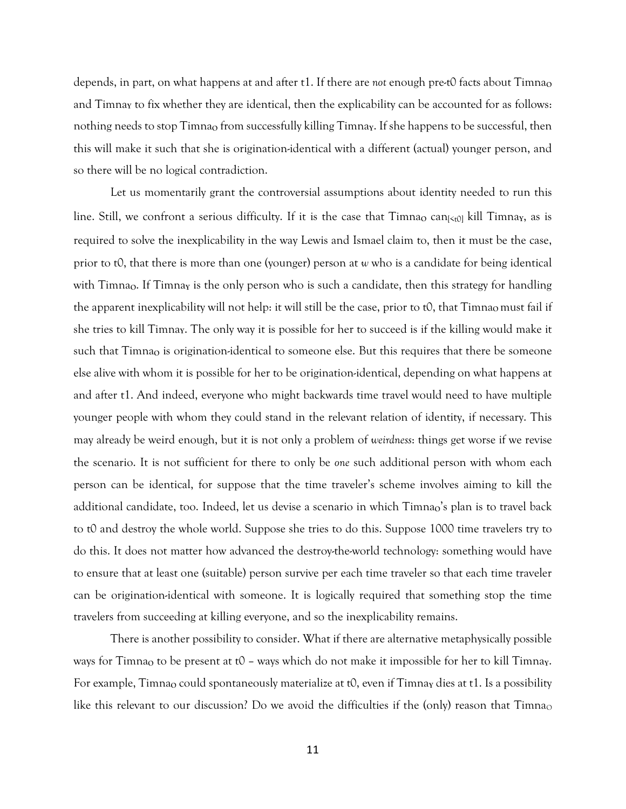depends, in part, on what happens at and after t1. If there are *not* enough pre-t0 facts about Timna<sub>0</sub> and Timna**<sup>Y</sup>** to fix whether they are identical, then the explicability can be accounted for as follows: nothing needs to stop Timna<sub>O</sub> from successfully killing Timna<sub>Y</sub>. If she happens to be successful, then this will make it such that she is origination-identical with a different (actual) younger person, and so there will be no logical contradiction.

Let us momentarily grant the controversial assumptions about identity needed to run this line. Still, we confront a serious difficulty. If it is the case that  $\text{Timna}_{\text{O}} \text{ can} \times \text{C}_{\text{O}}$  kill  $\text{Timna}_{\text{V}}$ , as is required to solve the inexplicability in the way Lewis and Ismael claim to, then it must be the case, prior to t0, that there is more than one (younger) person at *w* who is a candidate for being identical with Timna<sub>Q</sub>. If Timna<sub>Y</sub> is the only person who is such a candidate, then this strategy for handling the apparent inexplicability will not help: it will still be the case, prior to t0, that Timna<sub>o</sub> must fail if she tries to kill Timna**Y**. The only way it is possible for her to succeed is if the killing would make it such that Timna<sub>Q</sub> is origination-identical to someone else. But this requires that there be someone else alive with whom it is possible for her to be origination-identical, depending on what happens at and after t1. And indeed, everyone who might backwards time travel would need to have multiple younger people with whom they could stand in the relevant relation of identity, if necessary. This may already be weird enough, but it is not only a problem of *weirdness*: things get worse if we revise the scenario. It is not sufficient for there to only be *one* such additional person with whom each person can be identical, for suppose that the time traveler's scheme involves aiming to kill the additional candidate, too. Indeed, let us devise a scenario in which Timna<sub>o</sub>'s plan is to travel back to t0 and destroy the whole world. Suppose she tries to do this. Suppose 1000 time travelers try to do this. It does not matter how advanced the destroy-the-world technology: something would have to ensure that at least one (suitable) person survive per each time traveler so that each time traveler can be origination-identical with someone. It is logically required that something stop the time travelers from succeeding at killing everyone, and so the inexplicability remains.

There is another possibility to consider. What if there are alternative metaphysically possible ways for Timna<sub>O</sub> to be present at t0 – ways which do not make it impossible for her to kill Timnay. For example, Timna<sub>0</sub> could spontaneously materialize at t0, even if Timna<sub>Y</sub> dies at t1. Is a possibility like this relevant to our discussion? Do we avoid the difficulties if the (only) reason that  $Timna<sub>o</sub>$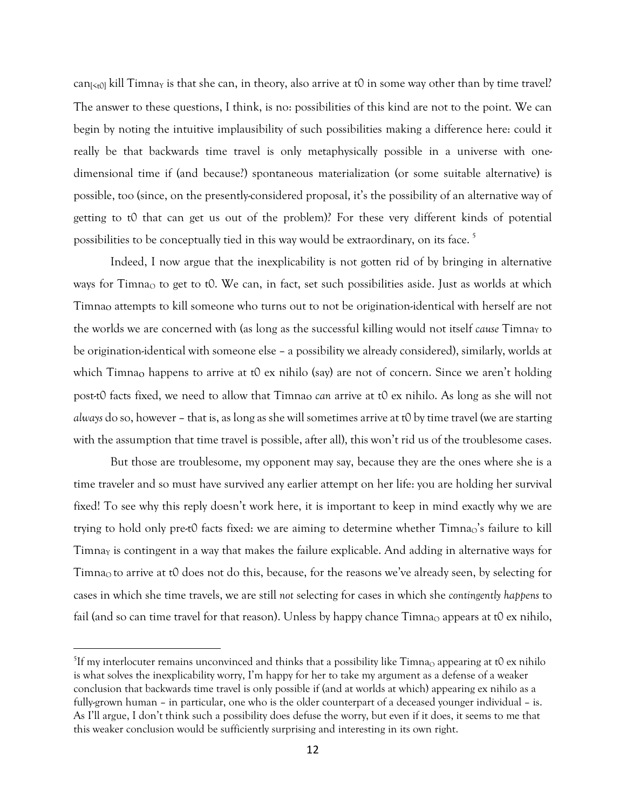can $\kappa_0$  kill Timnay is that she can, in theory, also arrive at t0 in some way other than by time travel? The answer to these questions, I think, is no: possibilities of this kind are not to the point. We can begin by noting the intuitive implausibility of such possibilities making a difference here: could it really be that backwards time travel is only metaphysically possible in a universe with onedimensional time if (and because?) spontaneous materialization (or some suitable alternative) is possible, too (since, on the presently-considered proposal, it's the possibility of an alternative way of getting to t0 that can get us out of the problem)? For these very different kinds of potential possibilities to be conceptually tied in this way would be extraordinary, on its face. [5](#page-11-0)

Indeed, I now argue that the inexplicability is not gotten rid of by bringing in alternative ways for Timnao to get to t0. We can, in fact, set such possibilities aside. Just as worlds at which Timna**<sup>O</sup>** attempts to kill someone who turns out to not be origination-identical with herself are not the worlds we are concerned with (as long as the successful killing would not itself *cause* Timna<sub>Y</sub> to be origination-identical with someone else – a possibility we already considered), similarly, worlds at which Timna<sub>O</sub> happens to arrive at t0 ex nihilo (say) are not of concern. Since we aren't holding post-t0 facts fixed, we need to allow that Timnao *can* arrive at t0 ex nihilo. As long as she will not *always* do so, however – that is, as long as she will sometimes arrive at t0 by time travel (we are starting with the assumption that time travel is possible, after all), this won't rid us of the troublesome cases.

But those are troublesome, my opponent may say, because they are the ones where she is a time traveler and so must have survived any earlier attempt on her life: you are holding her survival fixed! To see why this reply doesn't work here, it is important to keep in mind exactly why we are trying to hold only pre-t0 facts fixed: we are aiming to determine whether Timnao's failure to kill Timna<sub>Y</sub> is contingent in a way that makes the failure explicable. And adding in alternative ways for Timna<sub>O</sub> to arrive at t0 does not do this, because, for the reasons we've already seen, by selecting for cases in which she time travels, we are still *not* selecting for cases in which she *contingently happens* to fail (and so can time travel for that reason). Unless by happy chance  $Timna<sub>O</sub>$  appears at t0 ex nihilo,

<span id="page-11-0"></span> $^{5}$ If my interlocuter remains unconvinced and thinks that a possibility like Timna $_{\rm O}$  appearing at t0 ex nihilo is what solves the inexplicability worry, I'm happy for her to take my argument as a defense of a weaker conclusion that backwards time travel is only possible if (and at worlds at which) appearing ex nihilo as a fully-grown human – in particular, one who is the older counterpart of a deceased younger individual – is. As I'll argue, I don't think such a possibility does defuse the worry, but even if it does, it seems to me that this weaker conclusion would be sufficiently surprising and interesting in its own right.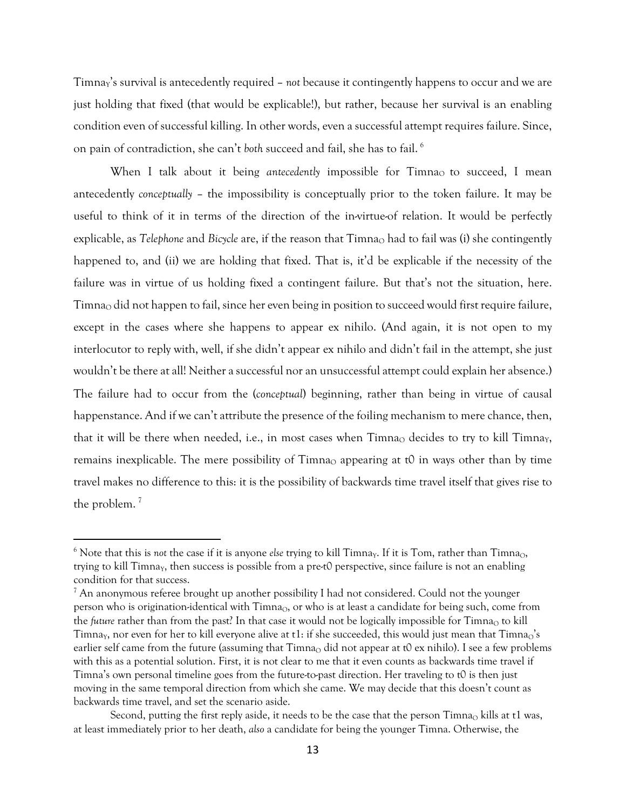Timna<sub>Y</sub>'s survival is antecedently required – *not* because it contingently happens to occur and we are just holding that fixed (that would be explicable!), but rather, because her survival is an enabling condition even of successful killing. In other words, even a successful attempt requires failure. Since, on pain of contradiction, she can't *both* succeed and fail, she has to fail. [6](#page-12-0)

When I talk about it being *antecedently* impossible for Timna<sub>O</sub> to succeed, I mean antecedently *conceptually* – the impossibility is conceptually prior to the token failure. It may be useful to think of it in terms of the direction of the in-virtue-of relation. It would be perfectly explicable, as *Telephone* and *Bicycle* are, if the reason that Timna<sub>Q</sub> had to fail was (i) she contingently happened to, and (ii) we are holding that fixed. That is, it'd be explicable if the necessity of the failure was in virtue of us holding fixed a contingent failure. But that's not the situation, here. Timna<sub>O</sub> did not happen to fail, since her even being in position to succeed would first require failure, except in the cases where she happens to appear ex nihilo. (And again, it is not open to my interlocutor to reply with, well, if she didn't appear ex nihilo and didn't fail in the attempt, she just wouldn't be there at all! Neither a successful nor an unsuccessful attempt could explain her absence.) The failure had to occur from the (*conceptual*) beginning, rather than being in virtue of causal happenstance. And if we can't attribute the presence of the foiling mechanism to mere chance, then, that it will be there when needed, i.e., in most cases when Timnao decides to try to kill Timnay, remains inexplicable. The mere possibility of Timna<sub>O</sub> appearing at  $t0$  in ways other than by time travel makes no difference to this: it is the possibility of backwards time travel itself that gives rise to the problem.<sup>[7](#page-12-1)</sup>

<span id="page-12-0"></span> $6$  Note that this is *not* the case if it is anyone *else* trying to kill Timnay. If it is Tom, rather than Timna<sub>O</sub>, trying to kill Timna<sub>Y</sub>, then success is possible from a pre-t0 perspective, since failure is not an enabling condition for that success.

<span id="page-12-1"></span> $^7$  An anonymous referee brought up another possibility I had not considered. Could not the younger person who is origination-identical with  $Timna<sub>0</sub>$ , or who is at least a candidate for being such, come from the *future* rather than from the past? In that case it would not be logically impossible for Timna<sub>O</sub> to kill Timna<sub>Y</sub>, nor even for her to kill everyone alive at  $t1$ : if she succeeded, this would just mean that Timna<sub>O</sub>'s earlier self came from the future (assuming that  $Timna<sub>O</sub>$  did not appear at t0 ex nihilo). I see a few problems with this as a potential solution. First, it is not clear to me that it even counts as backwards time travel if Timna's own personal timeline goes from the future-to-past direction. Her traveling to t0 is then just moving in the same temporal direction from which she came. We may decide that this doesn't count as backwards time travel, and set the scenario aside.

Second, putting the first reply aside, it needs to be the case that the person  $\text{Timna}_{\Omega}$  kills at t1 was, at least immediately prior to her death, *also* a candidate for being the younger Timna. Otherwise, the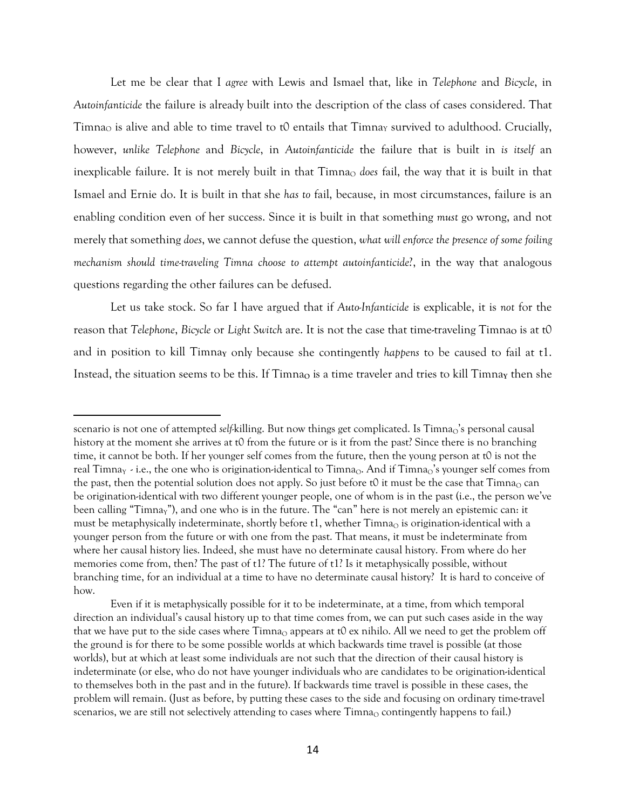Let me be clear that I *agree* with Lewis and Ismael that, like in *Telephone* and *Bicycle*, in *Autoinfanticide* the failure is already built into the description of the class of cases considered. That Timna<sub>O</sub> is alive and able to time travel to t0 entails that Timna<sub>Y</sub> survived to adulthood. Crucially, however, *unlike Telephone* and *Bicycle*, in *Autoinfanticide* the failure that is built in *is itself* an inexplicable failure. It is not merely built in that Timna<sub>O</sub> *does* fail, the way that it is built in that Ismael and Ernie do. It is built in that she *has to* fail, because, in most circumstances, failure is an enabling condition even of her success. Since it is built in that something *must* go wrong, and not merely that something *does*, we cannot defuse the question, *what will enforce the presence of some foiling mechanism should time-traveling Timna choose to attempt autoinfanticide*?, in the way that analogous questions regarding the other failures can be defused.

Let us take stock. So far I have argued that if *Auto-Infanticide* is explicable, it is *not* for the reason that *Telephone*, *Bicycle* or *Light Switch* are. It is not the case that time-traveling Timna<sub>O</sub> is at t0 and in position to kill Timna**<sup>Y</sup>** only because she contingently *happens* to be caused to fail at t1. Instead, the situation seems to be this. If Timna<sub>Q</sub> is a time traveler and tries to kill Timna<sub>Y</sub> then she

scenario is not one of attempted *self-killing*. But now things get complicated. Is Timna<sub>O</sub>'s personal causal history at the moment she arrives at t0 from the future or is it from the past? Since there is no branching time, it cannot be both. If her younger self comes from the future, then the young person at t0 is not the real Timna<sub>Y</sub> - i.e., the one who is origination-identical to Timna<sub>O</sub>. And if Timna<sub>O</sub>'s younger self comes from the past, then the potential solution does not apply. So just before t0 it must be the case that  $Timna<sub>O</sub>$  can be origination-identical with two different younger people, one of whom is in the past (i.e., the person we've been calling "Timna<sub>Y</sub>"), and one who is in the future. The "can" here is not merely an epistemic can: it must be metaphysically indeterminate, shortly before  $t1$ , whether Timna<sub>O</sub> is origination-identical with a younger person from the future or with one from the past. That means, it must be indeterminate from where her causal history lies. Indeed, she must have no determinate causal history. From where do her memories come from, then? The past of t1? The future of t1? Is it metaphysically possible, without branching time, for an individual at a time to have no determinate causal history? It is hard to conceive of how.

Even if it is metaphysically possible for it to be indeterminate, at a time, from which temporal direction an individual's causal history up to that time comes from, we can put such cases aside in the way that we have put to the side cases where Timna<sub>O</sub> appears at t0 ex nihilo. All we need to get the problem off the ground is for there to be some possible worlds at which backwards time travel is possible (at those worlds), but at which at least some individuals are not such that the direction of their causal history is indeterminate (or else, who do not have younger individuals who are candidates to be origination-identical to themselves both in the past and in the future). If backwards time travel is possible in these cases, the problem will remain. (Just as before, by putting these cases to the side and focusing on ordinary time-travel scenarios, we are still not selectively attending to cases where Timna<sub>O</sub> contingently happens to fail.)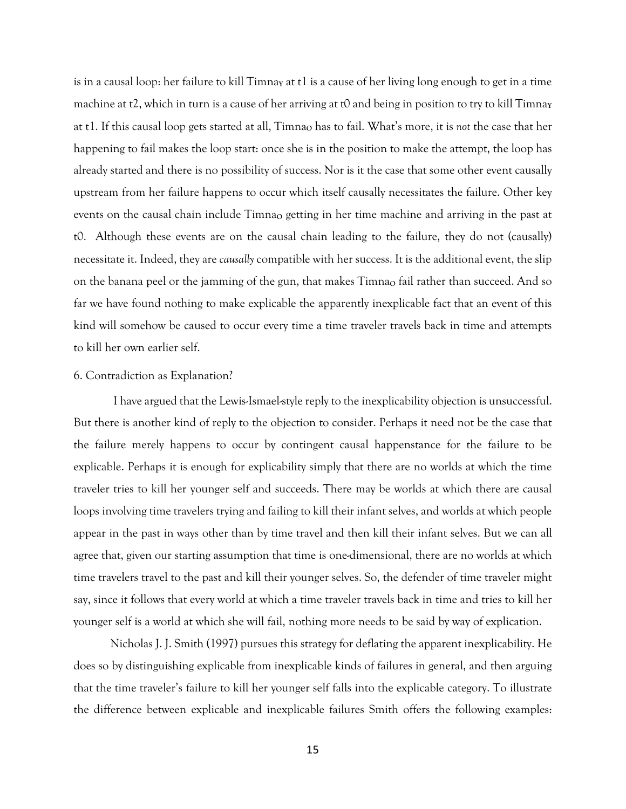is in a causal loop: her failure to kill Timna<sub>Y</sub> at t1 is a cause of her living long enough to get in a time machine at t2, which in turn is a cause of her arriving at t0 and being in position to try to kill Timna<sub>Y</sub> at t1. If this causal loop gets started at all, Timna<sub>Q</sub> has to fail. What's more, it is *not* the case that her happening to fail makes the loop start: once she is in the position to make the attempt, the loop has already started and there is no possibility of success. Nor is it the case that some other event causally upstream from her failure happens to occur which itself causally necessitates the failure. Other key events on the causal chain include Timna<sub>o</sub> getting in her time machine and arriving in the past at t0. Although these events are on the causal chain leading to the failure, they do not (causally) necessitate it. Indeed, they are *causally* compatible with her success. It is the additional event, the slip on the banana peel or the jamming of the gun, that makes Timna<sub>Q</sub> fail rather than succeed. And so far we have found nothing to make explicable the apparently inexplicable fact that an event of this kind will somehow be caused to occur every time a time traveler travels back in time and attempts to kill her own earlier self.

## 6. Contradiction as Explanation?

I have argued that the Lewis-Ismael-style reply to the inexplicability objection is unsuccessful. But there is another kind of reply to the objection to consider. Perhaps it need not be the case that the failure merely happens to occur by contingent causal happenstance for the failure to be explicable. Perhaps it is enough for explicability simply that there are no worlds at which the time traveler tries to kill her younger self and succeeds. There may be worlds at which there are causal loops involving time travelers trying and failing to kill their infant selves, and worlds at which people appear in the past in ways other than by time travel and then kill their infant selves. But we can all agree that, given our starting assumption that time is one-dimensional, there are no worlds at which time travelers travel to the past and kill their younger selves. So, the defender of time traveler might say, since it follows that every world at which a time traveler travels back in time and tries to kill her younger self is a world at which she will fail, nothing more needs to be said by way of explication.

Nicholas J. J. Smith (1997) pursues this strategy for deflating the apparent inexplicability. He does so by distinguishing explicable from inexplicable kinds of failures in general, and then arguing that the time traveler's failure to kill her younger self falls into the explicable category. To illustrate the difference between explicable and inexplicable failures Smith offers the following examples: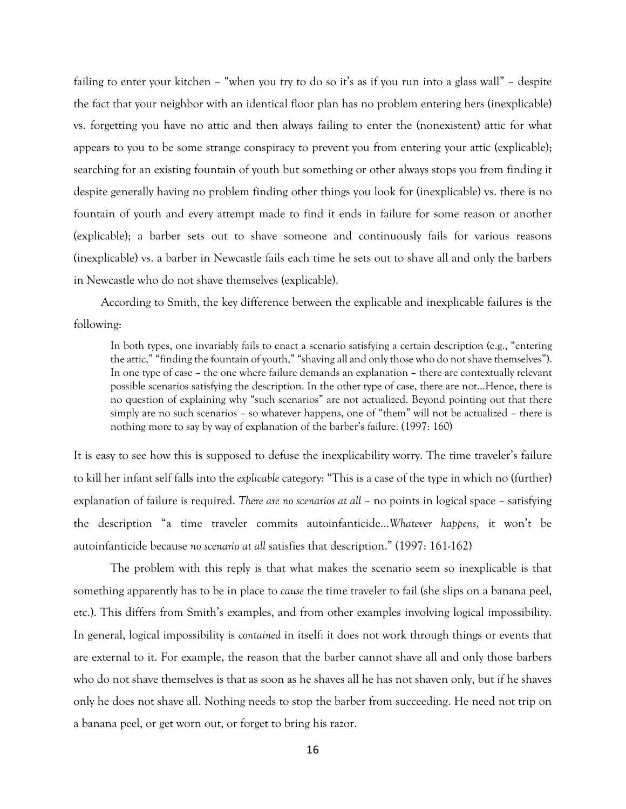failing to enter your kitchen – "when you try to do so it's as if you run into a glass wall" – despite the fact that your neighbor with an identical floor plan has no problem entering hers (inexplicable) vs. forgetting you have no attic and then always failing to enter the (nonexistent) attic for what appears to you to be some strange conspiracy to prevent you from entering your attic (explicable); searching for an existing fountain of youth but something or other always stops you from finding it despite generally having no problem finding other things you look for (inexplicable) vs. there is no fountain of youth and every attempt made to find it ends in failure for some reason or another (explicable); a barber sets out to shave someone and continuously fails for various reasons (inexplicable) vs. a barber in Newcastle fails each time he sets out to shave all and only the barbers in Newcastle who do not shave themselves (explicable).

According to Smith, the key difference between the explicable and inexplicable failures is the following:

In both types, one invariably fails to enact a scenario satisfying a certain description (e.g., "entering the attic," "finding the fountain of youth," "shaving all and only those who do not shave themselves"). In one type of case – the one where failure demands an explanation – there are contextually relevant possible scenarios satisfying the description. In the other type of case, there are not…Hence, there is no question of explaining why "such scenarios" are not actualized. Beyond pointing out that there simply are no such scenarios – so whatever happens, one of "them" will not be actualized – there is nothing more to say by way of explanation of the barber's failure. (1997: 160)

It is easy to see how this is supposed to defuse the inexplicability worry. The time traveler's failure to kill her infant self falls into the *explicable* category: "This is a case of the type in which no (further) explanation of failure is required. *There are no scenarios at all* – no points in logical space – satisfying the description "a time traveler commits autoinfanticide…*Whatever happens*, it won't be autoinfanticide because *no scenario at all* satisfies that description." (1997: 161-162)

The problem with this reply is that what makes the scenario seem so inexplicable is that something apparently has to be in place to *cause* the time traveler to fail (she slips on a banana peel, etc.). This differs from Smith's examples, and from other examples involving logical impossibility. In general, logical impossibility is *contained* in itself: it does not work through things or events that are external to it. For example, the reason that the barber cannot shave all and only those barbers who do not shave themselves is that as soon as he shaves all he has not shaven only, but if he shaves only he does not shave all. Nothing needs to stop the barber from succeeding. He need not trip on a banana peel, or get worn out, or forget to bring his razor.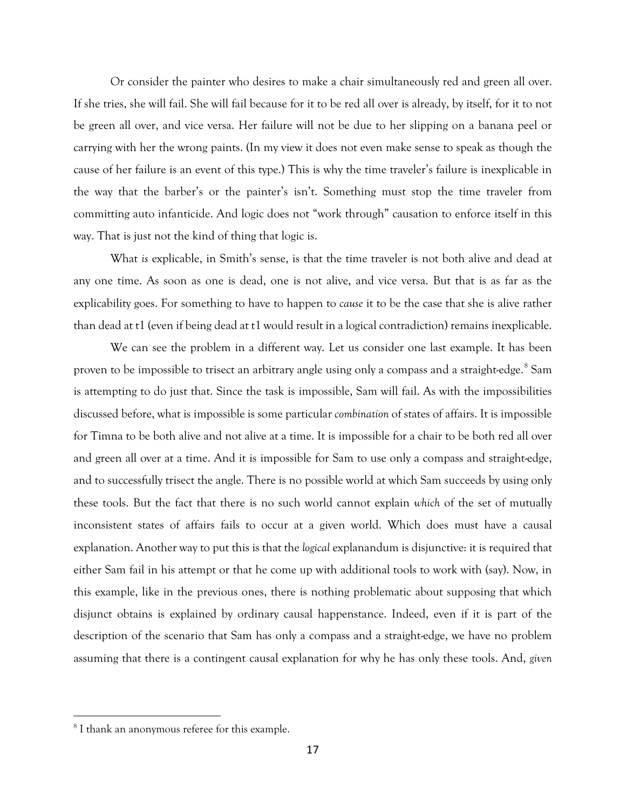Or consider the painter who desires to make a chair simultaneously red and green all over. If she tries, she will fail. She will fail because for it to be red all over is already, by itself, for it to not be green all over, and vice versa. Her failure will not be due to her slipping on a banana peel or carrying with her the wrong paints. (In my view it does not even make sense to speak as though the cause of her failure is an event of this type.) This is why the time traveler's failure is inexplicable in the way that the barber's or the painter's isn't. Something must stop the time traveler from committing auto infanticide. And logic does not "work through" causation to enforce itself in this way. That is just not the kind of thing that logic is.

What *is* explicable, in Smith's sense, is that the time traveler is not both alive and dead at any one time. As soon as one is dead, one is not alive, and vice versa. But that is as far as the explicability goes. For something to have to happen to *cause* it to be the case that she is alive rather than dead at t1 (even if being dead at t1 would result in a logical contradiction) remains inexplicable.

We can see the problem in a different way. Let us consider one last example. It has been proven to be impossible to trisect an arbitrary angle using only a compass and a straight-edge.<sup>[8](#page-16-0)</sup> Sam is attempting to do just that. Since the task is impossible, Sam will fail. As with the impossibilities discussed before, what is impossible is some particular *combination* of states of affairs. It is impossible for Timna to be both alive and not alive at a time. It is impossible for a chair to be both red all over and green all over at a time. And it is impossible for Sam to use only a compass and straight-edge, and to successfully trisect the angle. There is no possible world at which Sam succeeds by using only these tools. But the fact that there is no such world cannot explain *which* of the set of mutually inconsistent states of affairs fails to occur at a given world. Which does must have a causal explanation. Another way to put this is that the *logical* explanandum is disjunctive: it is required that either Sam fail in his attempt or that he come up with additional tools to work with (say). Now, in this example, like in the previous ones, there is nothing problematic about supposing that which disjunct obtains is explained by ordinary causal happenstance. Indeed, even if it is part of the description of the scenario that Sam has only a compass and a straight-edge, we have no problem assuming that there is a contingent causal explanation for why he has only these tools. And, *given*

<span id="page-16-0"></span><sup>&</sup>lt;sup>8</sup> I thank an anonymous referee for this example.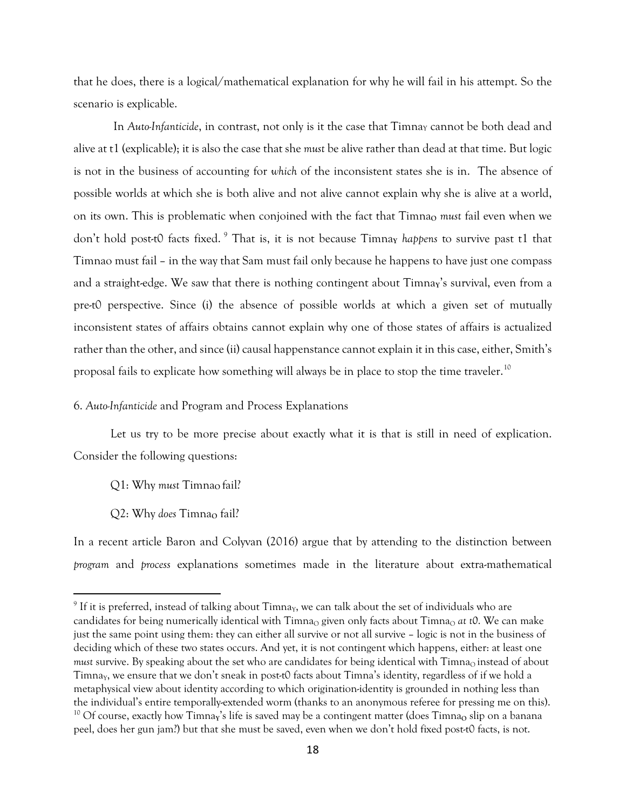that he does, there is a logical/mathematical explanation for why he will fail in his attempt. So the scenario is explicable.

In *Auto-Infanticide*, in contrast, not only is it the case that Timna<sub>Y</sub> cannot be both dead and alive at t1 (explicable); it is also the case that she *must* be alive rather than dead at that time. But logic is not in the business of accounting for *which* of the inconsistent states she is in. The absence of possible worlds at which she is both alive and not alive cannot explain why she is alive at a world, on its own. This is problematic when conjoined with the fact that Timna<sub>o</sub> *must* fail even when we don't hold post-t0 facts fixed. <sup>[9](#page-17-0)</sup> That is, it is not because Timnay *happens* to survive past t1 that Timnao must fail – in the way that Sam must fail only because he happens to have just one compass and a straight-edge. We saw that there is nothing contingent about Timna<sub>Y</sub>'s survival, even from a pre-t0 perspective. Since (i) the absence of possible worlds at which a given set of mutually inconsistent states of affairs obtains cannot explain why one of those states of affairs is actualized rather than the other, and since (ii) causal happenstance cannot explain it in this case, either, Smith's proposal fails to explicate how something will always be in place to stop the time traveler.<sup>[10](#page-17-1)</sup>

### 6. *Auto-Infanticide* and Program and Process Explanations

Let us try to be more precise about exactly what it is that is still in need of explication. Consider the following questions:

Q1: Why must Timna<sub>Q</sub> fail?

Q2: Why *does* Timna<sub>O</sub> fail?

In a recent article Baron and Colyvan (2016) argue that by attending to the distinction between *program* and *process* explanations sometimes made in the literature about extra-mathematical

<span id="page-17-1"></span><span id="page-17-0"></span> $9$  If it is preferred, instead of talking about Timna<sub>Y</sub>, we can talk about the set of individuals who are candidates for being numerically identical with Timna<sub>O</sub> given only facts about Timna<sub>O</sub> at t0. We can make just the same point using them: they can either all survive or not all survive – logic is not in the business of deciding which of these two states occurs. And yet, it is not contingent which happens, either: at least one *must survive.* By speaking about the set who are candidates for being identical with Timna<sub>O</sub> instead of about Timna<sub>Y</sub>, we ensure that we don't sneak in post-t0 facts about Timna's identity, regardless of if we hold a metaphysical view about identity according to which origination-identity is grounded in nothing less than the individual's entire temporally-extended worm (thanks to an anonymous referee for pressing me on this).<br><sup>10</sup> Of course, exactly how Timna<sub>y</sub>'s life is saved may be a contingent matter (does Timna<sub>o</sub> slip on a banana peel, does her gun jam?) but that she must be saved, even when we don't hold fixed post-t0 facts, is not.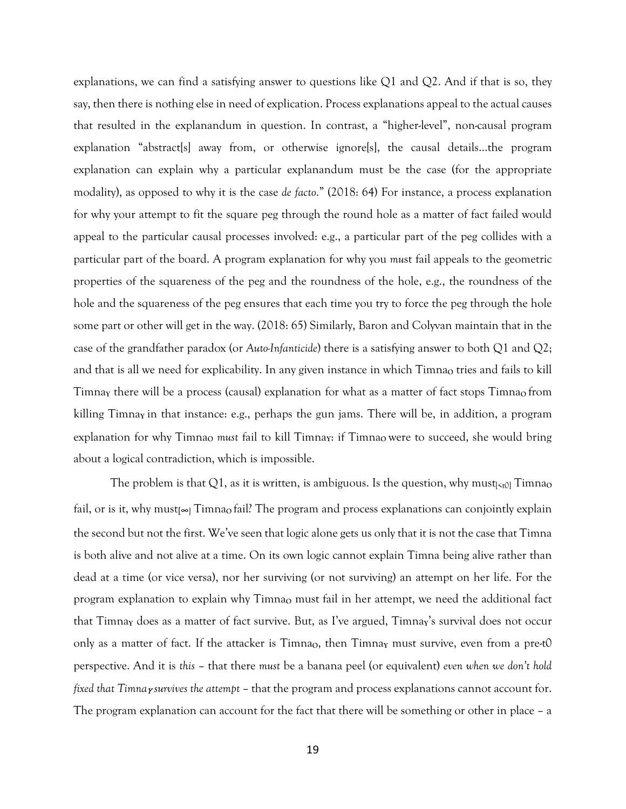explanations, we can find a satisfying answer to questions like  $Q1$  and  $Q2$ . And if that is so, they say, then there is nothing else in need of explication. Process explanations appeal to the actual causes that resulted in the explanandum in question. In contrast, a "higher-level", non-causal program explanation "abstract[s] away from, or otherwise ignore[s], the causal details...the program explanation can explain why a particular explanandum must be the case (for the appropriate modality), as opposed to why it is the case *de facto*." (2018: 64) For instance, a process explanation for why your attempt to fit the square peg through the round hole as a matter of fact failed would appeal to the particular causal processes involved: e.g., a particular part of the peg collides with a particular part of the board. A program explanation for why you *mu*st fail appeals to the geometric properties of the squareness of the peg and the roundness of the hole, e.g., the roundness of the hole and the squareness of the peg ensures that each time you try to force the peg through the hole some part or other will get in the way. (2018: 65) Similarly, Baron and Colyvan maintain that in the case of the grandfather paradox (or *Auto-Infanticide*) there is a satisfying answer to both Q1 and Q2; and that is all we need for explicability. In any given instance in which Timna<sub>o</sub> tries and fails to kill Timna<sub>Y</sub> there will be a process (causal) explanation for what as a matter of fact stops Timna<sub>0</sub> from killing Timna**<sup>Y</sup>** in that instance: e.g., perhaps the gun jams. There will be, in addition, a program explanation for why Timna<sub>O</sub> *must* fail to kill Timna<sub>y</sub>: if Timna<sub>O</sub> were to succeed, she would bring about a logical contradiction, which is impossible.

The problem is that Q1, as it is written, is ambiguous. Is the question, why must $\epsilon_{t0}$  Timna<sub>o</sub> fail, or is it, why must<sub>[∞]</sub> Timna<sub>o</sub> fail? The program and process explanations can conjointly explain the second but not the first. We've seen that logic alone gets us only that it is not the case that Timna is both alive and not alive at a time. On its own logic cannot explain Timna being alive rather than dead at a time (or vice versa), nor her surviving (or not surviving) an attempt on her life. For the program explanation to explain why Timna<sub>o</sub> must fail in her attempt, we need the additional fact that Timna<sub>Y</sub> does as a matter of fact survive. But, as I've argued, Timnay's survival does not occur only as a matter of fact. If the attacker is  $T_{\text{imna}_0}$ , then  $T_{\text{imna}_Y}$  must survive, even from a pre-t0 perspective. And it is *this* – that there *must* be a banana peel (or equivalent) *even when we don't hold fixed* that *Timna y survives* the attempt – that the program and process explanations cannot account for. The program explanation can account for the fact that there will be something or other in place – a